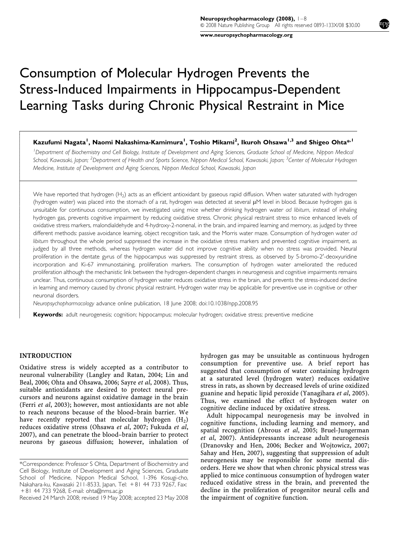[www.neuropsychopharmacology.org](http://www.neuropsychopharmacology.org)

# Consumption of Molecular Hydrogen Prevents the Stress-Induced Impairments in Hippocampus-Dependent Learning Tasks during Chronic Physical Restraint in Mice

# Kazufumi Nagata<sup>l</sup>, Naomi Nakashima-Kamimura<sup>l</sup>, Toshio Mikami<sup>2</sup>, Ikuroh Ohsawa<sup>l,3</sup> and Shigeo Ohta<sup>\*, I</sup>

<sup>1</sup>Department of Biochemistry and Cell Biology, Institute of Development and Aging Sciences, Graduate School of Medicine, Nippon Medical School, Kawasaki, Japan; <sup>2</sup>Department of Health and Sports Science, Nippon Medical School, Kawasaki, Japan; <sup>3</sup>Center of Molecular Hydrogen Medicine, Institute of Development and Aging Sciences, Nippon Medical School, Kawasaki, Japan

We have reported that hydrogen (H<sub>2</sub>) acts as an efficient antioxidant by gaseous rapid diffusion. When water saturated with hydrogen (hydrogen water) was placed into the stomach of a rat, hydrogen was detected at several µM level in blood. Because hydrogen gas is unsuitable for continuous consumption, we investigated using mice whether drinking hydrogen water ad libitum, instead of inhaling hydrogen gas, prevents cognitive impairment by reducing oxidative stress. Chronic physical restraint stress to mice enhanced levels of oxidative stress markers, malondialdehyde and 4-hydroxy-2-nonenal, in the brain, and impaired learning and memory, as judged by three different methods: passive avoidance learning, object recognition task, and the Morris water maze. Consumption of hydrogen water ad libitum throughout the whole period suppressed the increase in the oxidative stress markers and prevented cognitive impairment, as judged by all three methods, whereas hydrogen water did not improve cognitive ability when no stress was provided. Neural proliferation in the dentate gyrus of the hippocampus was suppressed by restraint stress, as observed by 5-bromo-2'-deoxyuridine incorporation and Ki-67 immunostaining, proliferation markers. The consumption of hydrogen water ameliorated the reduced proliferation although the mechanistic link between the hydrogen-dependent changes in neurogenesis and cognitive impairments remains unclear. Thus, continuous consumption of hydrogen water reduces oxidative stress in the brain, and prevents the stress-induced decline in learning and memory caused by chronic physical restraint. Hydrogen water may be applicable for preventive use in cognitive or other neuronal disorders.

Neuropsychopharmacology advance online publication, 18 June 2008; doi[:10.1038/npp.2008.95](http://dx.doi.org/10.1038/npp.2008.95)

Keywords: adult neurogenesis; cognition; hippocampus; molecular hydrogen; oxidative stress; preventive medicine

### INTRODUCTION

ŕ ſ I ł I I I I ł ł I I I I I

ł I I I I ł

I I I I I

I I

Oxidative stress is widely accepted as a contributor to neuronal vulnerability ([Langley and Ratan, 2004; Lin and](#page-7-0) [Beal, 2006](#page-7-0); [Ohta and Ohsawa, 2006;](#page-7-0) Sayre et al[, 2008](#page-7-0)). Thus, suitable antioxidants are desired to protect neural precursors and neurons against oxidative damage in the brain (Ferri et al[, 2003\)](#page-7-0); however, most antioxidants are not able to reach neurons because of the blood–brain barrier. We have recently reported that molecular hydrogen  $(H<sub>2</sub>)$ reduces oxidative stress ([Ohsawa](#page-7-0) et al, 2007; [Fukuda](#page-7-0) et al, [2007\)](#page-7-0), and can penetrate the blood–brain barrier to protect neurons by gaseous diffusion; however, inhalation of hydrogen gas may be unsuitable as continuous hydrogen consumption for preventive use. A brief report has suggested that consumption of water containing hydrogen at a saturated level (hydrogen water) reduces oxidative stress in rats, as shown by decreased levels of urine oxidized guanine and hepatic lipid peroxide [\(Yanagihara](#page-7-0) et al, 2005). Thus, we examined the effect of hydrogen water on cognitive decline induced by oxidative stress.

Adult hippocampal neurogenesis may be involved in cognitive functions, including learning and memory, and spatial recognition ([Abrous](#page-6-0) et al, 2005; [Bruel-Jungerman](#page-6-0) et al[, 2007\)](#page-6-0). Antidepressants increase adult neurogenesis [\(Dranovsky and Hen, 2006](#page-7-0); [Becker and Wojtowicz, 2007;](#page-6-0) [Sahay and Hen, 2007\)](#page-7-0), suggesting that suppression of adult neurogenesis may be responsible for some mental disorders. Here we show that when chronic physical stress was applied to mice continuous consumption of hydrogen water reduced oxidative stress in the brain, and prevented the decline in the proliferation of progenitor neural cells and

<sup>\*</sup>Correspondence: Professor S Ohta, Department of Biochemistry and Cell Biology, Institute of Development and Aging Sciences, Graduate School of Medicine, Nippon Medical School, 1-396 Kosugi-cho, Nakahara-ku, Kawasaki 211-8533, Japan, Tel: + 81 44 733 9267, Fax: + 81 44 733 9268, E-mail: [ohta@nms.ac.jp](mailto:ohta@nms.ac.jp)

Received 24 March 2008; revised 19 May 2008; accepted 23 May 2008 the impairment of cognitive function.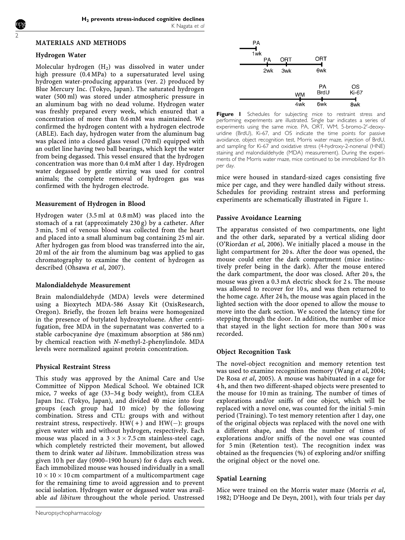#### <span id="page-1-0"></span>MATERIALS AND METHODS

#### Hydrogen Water

Molecular hydrogen  $(H<sub>2</sub>)$  was dissolved in water under high pressure (0.4 MPa) to a supersaturated level using hydrogen water-producing apparatus (ver. 2) produced by Blue Mercury Inc. (Tokyo, Japan). The saturated hydrogen water (500 ml) was stored under atmospheric pressure in an aluminum bag with no dead volume. Hydrogen water was freshly prepared every week, which ensured that a concentration of more than 0.6 mM was maintained. We confirmed the hydrogen content with a hydrogen electrode (ABLE). Each day, hydrogen water from the aluminum bag was placed into a closed glass vessel (70 ml) equipped with an outlet line having two ball bearings, which kept the water from being degassed. This vessel ensured that the hydrogen concentration was more than 0.4 mM after 1 day. Hydrogen water degassed by gentle stirring was used for control animals; the complete removal of hydrogen gas was confirmed with the hydrogen electrode.

## Measurement of Hydrogen in Blood

Hydrogen water (3.5 ml at 0.8 mM) was placed into the stomach of a rat (approximately 230 g) by a catheter. After 3 min, 5 ml of venous blood was collected from the heart and placed into a small aluminum bag containing 25 ml air. After hydrogen gas from blood was transferred into the air, 20 ml of the air from the aluminum bag was applied to gas chromatography to examine the content of hydrogen as described [\(Ohsawa](#page-7-0) et al, 2007).

#### Malondialdehyde Measurement

Brain malondialdehyde (MDA) levels were determined using a Bioxytech MDA-586 Assay Kit (OxisResearch, Oregon). Briefly, the frozen left brains were homogenized in the presence of butylated hydroxytoluene. After centrifugation, free MDA in the supernatant was converted to a stable carbocyanine dye (maximum absorption at 586 nm) by chemical reaction with N-methyl-2-phenylindole. MDA levels were normalized against protein concentration.

#### Physical Restraint Stress

This study was approved by the Animal Care and Use Committee of Nippon Medical School. We obtained ICR mice, 7 weeks of age (33–34 g body weight), from CLEA Japan Inc. (Tokyo, Japan), and divided 40 mice into four groups (each group had 10 mice) by the following combination. Stress and CTL: groups with and without restraint stress, respectively. HW( + ) and HW(-): groups given water with and without hydrogen, respectively. Each mouse was placed in a  $3 \times 3 \times 7.5$  cm stainless-steel cage, which completely restricted their movement, but allowed them to drink water ad libitum. Immobilization stress was given 10 h per day (0900–1900 hours) for 6 days each week. Each immobilized mouse was housed individually in a small  $10 \times 10 \times 10$  cm compartment of a multicompartment cage for the remaining time to avoid aggression and to prevent social isolation. Hydrogen water or degassed water was available ad libitum throughout the whole period. Unstressed



Figure I Schedules for subjecting mice to restraint stress and performing experiments are illustrated. Single bar indicates a series of experiments using the same mice. PA, ORT, WM, 5-bromo-2'-deoxyuridine (BrdU), Ki-67, and OS indicate the time points for passive avoidance, object recognition test, Morris water maze, injection of BrdU, and sampling for Ki-67 and oxidative stress (4-hydroxy-2-nonenal (HNE) staining and malondialdehyde (MDA) measurement). During the experiments of the Morris water maze, mice continued to be immobilized for 8 h per day.

mice were housed in standard-sized cages consisting five mice per cage, and they were handled daily without stress. Schedules for providing restraint stress and performing experiments are schematically illustrated in Figure 1.

# Passive Avoidance Learning

The apparatus consisted of two compartments, one light and the other dark, separated by a vertical sliding door ([O'Riordan](#page-7-0) et al, 2006). We initially placed a mouse in the light compartment for 20 s. After the door was opened, the mouse could enter the dark compartment (mice instinctively prefer being in the dark). After the mouse entered the dark compartment, the door was closed. After 20 s, the mouse was given a 0.3 mA electric shock for 2 s. The mouse was allowed to recover for 10 s, and was then returned to the home cage. After 24 h, the mouse was again placed in the lighted section with the door opened to allow the mouse to move into the dark section. We scored the latency time for stepping through the door. In addition, the number of mice that stayed in the light section for more than 300 s was recorded.

# Object Recognition Task

The novel-object recognition and memory retention test was used to examine recognition memory ([Wang](#page-7-0) et al, 2004; [De Rosa](#page-7-0) et al, 2005). A mouse was habituated in a cage for 4 h, and then two different-shaped objects were presented to the mouse for 10 min as training. The number of times of explorations and/or sniffs of one object, which will be replaced with a novel one, was counted for the initial 5-min period (Training). To test memory retention after 1 day, one of the original objects was replaced with the novel one with a different shape, and then the number of times of explorations and/or sniffs of the novel one was counted for 5 min (Retention test). The recognition index was obtained as the frequencies (%) of exploring and/or sniffing the original object or the novel one.

# Spatial Learning

Mice were trained on the Morris water maze ([Morris](#page-7-0) et al, [1982](#page-7-0); [D'Hooge and De Deyn, 2001\)](#page-7-0), with four trials per day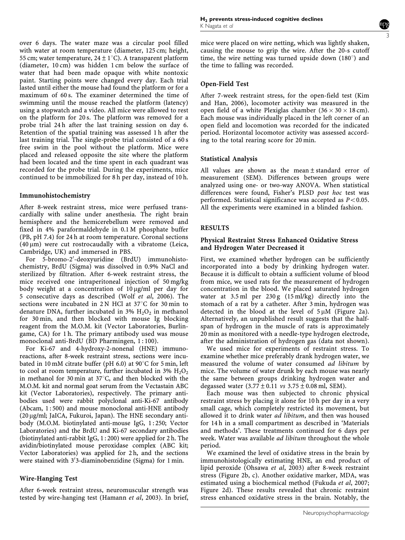over 6 days. The water maze was a circular pool filled with water at room temperature (diameter, 125 cm; height, 55 cm; water temperature,  $24 \pm 1^{\circ}$ C). A transparent platform (diameter, 10 cm) was hidden 1 cm below the surface of water that had been made opaque with white nontoxic paint. Starting points were changed every day. Each trial lasted until either the mouse had found the platform or for a maximum of 60 s. The examiner determined the time of swimming until the mouse reached the platform (latency) using a stopwatch and a video. All mice were allowed to rest on the platform for 20 s. The platform was removed for a probe trial 24 h after the last training session on day 6. Retention of the spatial training was assessed 1 h after the last training trial. The single-probe trial consisted of a 60 s free swim in the pool without the platform. Mice were placed and released opposite the site where the platform had been located and the time spent in each quadrant was recorded for the probe trial. During the experiments, mice continued to be immobilized for 8 h per day, instead of 10 h.

#### Immunohistochemistry

After 8-week restraint stress, mice were perfused transcardially with saline under anesthesia. The right brain hemisphere and the hemicerebellum were removed and fixed in 4% paraformaldehyde in 0.1 M phosphate buffer (PB, pH 7.4) for 24 h at room temperature. Coronal sections  $(40 \,\mu m)$  were cut rostrocaudally with a vibratome (Leica, Cambridge, UK) and immersed in PBS.

For 5-bromo-2'-deoxyuridine (BrdU) immunohistochemistry, BrdU (Sigma) was dissolved in 0.9% NaCl and sterilized by filtration. After 6-week restraint stress, the mice received one intraperitoneal injection of 50 mg/kg body weight at a concentration of  $10 \mu g/ml$  per day for 5 consecutive days as described (Wolf et al[, 2006](#page-7-0)). The sections were incubated in  $2N$  HCl at  $37^{\circ}$ C for  $30$  min to denature DNA, further incubated in  $3\%$  H<sub>2</sub>O<sub>2</sub> in methanol for 30 min, and then blocked with mouse Ig blocking reagent from the M.O.M. kit (Vector Laboratories, Burlingame, CA) for 1 h. The primary antibody used was mouse monoclonal anti-BrdU (BD Pharmingen, 1 : 100).

For Ki-67 and 4-hydroxy-2-nonenal (HNE) immunoreactions, after 8-week restraint stress, sections were incubated in 10 mM citrate buffer (pH 6.0) at 90 $\degree$ C for 5 min, left to cool at room temperature, further incubated in 3%  $H_2O_2$ in methanol for 30 min at 37 $\degree$ C, and then blocked with the M.O.M. kit and normal goat serum from the Vectastain ABC kit (Vector Laboratories), respectively. The primary antibodies used were rabbit polyclonal anti-Ki-67 antibody (Abcam, 1 : 500) and mouse monoclonal anti-HNE antibody (20 mg/ml; JaICA, Fukuroi, Japan). The HNE secondary antibody (M.O.M. biotinylated anti-mouse IgG, 1 : 250; Vector Laboratories) and the BrdU and Ki-67 secondary antibodies (biotinylated anti-rabbit IgG, 1 : 200) were applied for 2 h. The avidin/biotinylated mouse peroxidase complex (ABC kit; Vector Laboratories) was applied for 2 h, and the sections were stained with 3'3-diaminobenzidine (Sigma) for 1 min.

#### Wire-Hanging Test

After 6-week restraint stress, neuromuscular strength was tested by wire-hanging test [\(Hamann](#page-7-0) et al, 2003). In brief,



mice were placed on wire netting, which was lightly shaken, causing the mouse to grip the wire. After the 20-s cutoff time, the wire netting was turned upside down  $(180^{\circ})$  and the time to falling was recorded.

#### Open-Field Test

After 7-week restraint stress, for the open-field test [\(Kim](#page-7-0) [and Han, 2006\)](#page-7-0), locomoter activity was measured in the open field of a white Plexiglas chamber  $(36 \times 30 \times 18 \text{ cm})$ . Each mouse was individually placed in the left corner of an open field and locomotion was recorded for the indicated period. Horizontal locomotor activity was assessed according to the total rearing score for 20 min.

#### Statistical Analysis

All values are shown as the mean±standard error of measurement (SEM). Differences between groups were analyzed using one- or two-way ANOVA. When statistical differences were found, Fisher's PLSD post hoc test was performed. Statistical significance was accepted as  $P < 0.05$ . All the experiments were examined in a blinded fashion.

#### RESULTS

#### Physical Restraint Stress Enhanced Oxidative Stress and Hydrogen Water Decreased it

First, we examined whether hydrogen can be sufficiently incorporated into a body by drinking hydrogen water. Because it is difficult to obtain a sufficient volume of blood from mice, we used rats for the measurement of hydrogen concentration in the blood. We placed saturated hydrogen water at  $3.5$  ml per  $230 g$  (15 ml/kg) directly into the stomach of a rat by a catheter. After 3 min, hydrogen was detected in the blood at the level of  $5 \mu M$  ([Figure 2a\)](#page-3-0). Alternatively, an unpublished result suggests that the halfspan of hydrogen in the muscle of rats is approximately 20 min as monitored with a needle-type hydrogen electrode, after the administration of hydrogen gas (data not shown).

We used mice for experiments of restraint stress. To examine whether mice preferably drank hydrogen water, we measured the volume of water consumed ad libitum by mice. The volume of water drunk by each mouse was nearly the same between groups drinking hydrogen water and degassed water  $(3.77 \pm 0.11 \text{ vs } 3.75 \pm 0.08 \text{ ml}, \text{SEM})$ .

Each mouse was then subjected to chronic physical restraint stress by placing it alone for 10 h per day in a very small cage, which completely restricted its movement, but allowed it to drink water ad libitum, and then was housed for 14 h in a small compartment as described in 'Materials and methods'. These treatments continued for 6 days per week. Water was available ad libitum throughout the whole period.

We examined the level of oxidative stress in the brain by immunohistologically estimating HNE, an end product of lipid peroxide [\(Ohsawa](#page-7-0) et al, 2003) after 8-week restraint stress [\(Figure 2b, c](#page-3-0)). Another oxidative marker, MDA, was estimated using a biochemical method ([Fukuda](#page-7-0) et al, 2007; [Figure 2d\)](#page-3-0). These results revealed that chronic restraint stress enhanced oxidative stress in the brain. Notably, the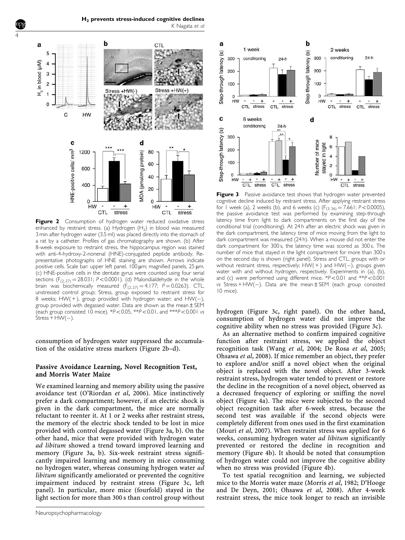

<span id="page-3-0"></span>4

Figure 2 Consumption of hydrogen water reduced oxidative stress enhanced by restraint stress. (a) Hydrogen  $(H<sub>2</sub>)$  in blood was measured 3 min after hydrogen water (3.5 ml) was placed directly into the stomach of a rat by a catheter. Profiles of gas chromatography are shown. (b) After 8-week exposure to restraint stress, the hippocampus region was stained with anti-4-hydroxy-2-nonenal (HNE)-conjugated peptide antibody. Representative photographs of HNE staining are shown. Arrows indicate positive cells. Scale bar: upper left panel,  $100 \,\mu m$ ; magnified panels,  $25 \,\mu m$ . (c) HNE-positive cells in the dentate gyrus were counted using four serial sections  $(F_{(2, 27)} = 28.031$ ; P<0.0001). (d) Malondialdehyde in the whole brain was biochemically measured  $(F_{(2, 27)} = 4.177; P = 0.0263)$ . CTL, unstressed control group; Stress, group exposed to restraint stress for 8 weeks;  $HW(+)$ , group provided with hydrogen water; and  $HW(-)$ , group provided with degassed water. Data are shown as the mean±SEM (each group consisted  $10$  mice). \*P < 0.05, \*\*P < 0.01, and \*\*\*P < 0.001 vs  $\text{Stress} + \text{HW}(-).$ 

consumption of hydrogen water suppressed the accumulation of the oxidative stress markers (Figure 2b–d).

#### Passive Avoidance Learning, Novel Recognition Test, and Morris Water Maize

We examined learning and memory ability using the passive avoidance test [\(O'Riordan](#page-7-0) et al, 2006). Mice instinctively prefer a dark compartment; however, if an electric shock is given in the dark compartment, the mice are normally reluctant to reenter it. At 1 or 2 weeks after restraint stress, the memory of the electric shock tended to be lost in mice provided with control degassed water (Figure 3a, b). On the other hand, mice that were provided with hydrogen water ad libitum showed a trend toward improved learning and memory (Figure 3a, b). Six-week restraint stress significantly impaired learning and memory in mice consuming no hydrogen water, whereas consuming hydrogen water ad libitum significantly ameliorated or prevented the cognitive impairment induced by restraint stress (Figure 3c, left panel). In particular, more mice (fourfold) stayed in the light section for more than 300 s than control group without



Figure 3 Passive avoidance test shows that hydrogen water prevented cognitive decline induced by restraint stress. After applying restraint stress for 1 week (a), 2 weeks (b), and 6 weeks (c)  $(F_{(3, 36)} = 7.661; P < 0.0005)$ , the passive avoidance test was performed by examining step-through latency time from light to dark compartments on the first day of the conditional trial (conditioning). At 24 h after an electric shock was given in the dark compartment, the latency time of mice moving from the light to dark compartment was measured (24 h). When a mouse did not enter the dark compartment for 300 s, the latency time was scored as 300 s. The number of mice that stayed in the light compartment for more than 300 s on the second day is shown (right panel). Stress and CTL, groups with or without restraint stress, respectively; HW(+) and HW(-), groups given water with and without hydrogen, respectively. Experiments in (a), (b), and (c) were performed using different mice.  $*P<0.01$  and  $**P<0.001$ vs Stress +  $HW(-)$ . Data are the mean  $\pm$  SEM (each group consisted 10 mice).

hydrogen (Figure 3c, right panel). On the other hand, consumption of hydrogen water did not improve the cognitive ability when no stress was provided (Figure 3c).

As an alternative method to confirm impaired cognitive function after restraint stress, we applied the object recognition task (Wang et al[, 2004](#page-7-0); [De Rosa](#page-7-0) et al, 2005; [Ohsawa](#page-7-0) et al, 2008). If mice remember an object, they prefer to explore and/or sniff a novel object when the original object is replaced with the novel object. After 3-week restraint stress, hydrogen water tended to prevent or restore the decline in the recognition of a novel object, observed as a decreased frequency of exploring or sniffing the novel object ([Figure 4a](#page-4-0)). The mice were subjected to the second object recognition task after 6-week stress, because the second test was available if the second objects were completely different from ones used in the first examination ([Mouri](#page-7-0) et al, 2007). When restraint stress was applied for 6 weeks, consuming hydrogen water ad libitum significantly prevented or restored the decline in recognition and memory [\(Figure 4b](#page-4-0)). It should be noted that consumption of hydrogen water could not improve the cognitive ability when no stress was provided [\(Figure 4b\)](#page-4-0).

To test spatial recognition and learning, we subjected mice to the Morris water maze ([Morris](#page-7-0) et al, 1982; [D'Hooge](#page-7-0) [and De Deyn, 2001](#page-7-0); [Ohsawa](#page-7-0) et al, 2008). After 4-week restraint stress, the mice took longer to reach an invisible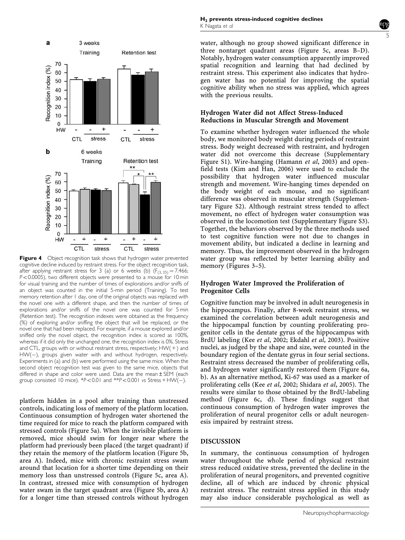<span id="page-4-0"></span>

Figure 4 Object recognition task shows that hydrogen water prevented cognitive decline induced by restraint stress. For the object recognition task, after applying restraint stress for 3 (a) or 6 weeks (b)  $(F_{(3, 35)} = 7.466;$  $P < 0.0005$ ), two different objects were presented to a mouse for 10 min for visual training and the number of times of explorations and/or sniffs of an object was counted in the initial 5-min period (Training). To test memory retention after 1 day, one of the original objects was replaced with the novel one with a different shape, and then the number of times of explorations and/or sniffs of the novel one was counted for 5 min (Retention test). The recognition indexes were obtained as the frequency (%) of exploring and/or sniffing the object that will be replaced, or the novel one that had been replaced. For example, if a mouse explored and/or sniffed only the novel object, the recognition index is scored as 100%, whereas if it did only the unchanged one, the recognition index is 0%. Stress and CTL, groups with or without restraint stress, respectively;  $HW(+)$  and HW(-), groups given water with and without hydrogen, respectively. Experiments in (a) and (b) were performed using the same mice. When the second object recognition test was given to the same mice, objects that differed in shape and color were used. Data are the mean±SEM (each group consisted 10 mice).  $^{*}P\!<\!0.01$  and  $^{**}P\!<\!0.001$  vs Stress + HW(—).

platform hidden in a pool after training than unstressed controls, indicating loss of memory of the platform location. Continuous consumption of hydrogen water shortened the time required for mice to reach the platform compared with stressed controls [\(Figure 5a\)](#page-5-0). When the invisible platform is removed, mice should swim for longer near where the platform had previously been placed (the target quadrant) if they retain the memory of the platform location [\(Figure 5b,](#page-5-0) area A). Indeed, mice with chronic restraint stress swam around that location for a shorter time depending on their memory loss than unstressed controls ([Figure 5c, area](#page-5-0) A). In contrast, stressed mice with consumption of hydrogen water swam in the target quadrant area ([Figure 5b](#page-5-0), area A) for a longer time than stressed controls without hydrogen water, although no group showed significant difference in three nontarget quadrant areas [\(Figure 5c,](#page-5-0) areas B–D). Notably, hydrogen water consumption apparently improved spatial recognition and learning that had declined by restraint stress. This experiment also indicates that hydrogen water has no potential for improving the spatial cognitive ability when no stress was applied, which agrees with the previous results.

#### Hydrogen Water did not Affect Stress-Induced Reductions in Muscular Strength and Movement

To examine whether hydrogen water influenced the whole body, we monitored body weight during periods of restraint stress. Body weight decreased with restraint, and hydrogen water did not overcome this decrease (Supplementary Figure S1). Wire-hanging ([Hamann](#page-7-0) et al, 2003) and openfield tests [\(Kim and Han, 2006\)](#page-7-0) were used to exclude the possibility that hydrogen water influenced muscular strength and movement. Wire-hanging times depended on the body weight of each mouse, and no significant difference was observed in muscular strength (Supplementary Figure S2). Although restraint stress tended to affect movement, no effect of hydrogen water consumption was observed in the locomotion test (Supplementary Figure S3). Together, the behaviors observed by the three methods used to test cognitive function were not due to changes in movement ability, but indicated a decline in learning and memory. Thus, the improvement observed in the hydrogen water group was reflected by better learning ability and memory [\(Figures 3–5\)](#page-3-0).

## Hydrogen Water Improved the Proliferation of Progenitor Cells

Cognitive function may be involved in adult neurogenesis in the hippocampus. Finally, after 8-week restraint stress, we examined the correlation between adult neurogenesis and the hippocampal function by counting proliferating progenitor cells in the dentate gyrus of the hippocampus with BrdU labeling (Kee et al[, 2002; Ekdahl](#page-7-0) et al, 2003). Positive nuclei, as judged by the shape and size, were counted in the boundary region of the dentate gyrus in four serial sections. Restraint stress decreased the number of proliferating cells, and hydrogen water significantly restored them [\(Figure 6a,](#page-6-0) [b](#page-6-0)). As an alternative method, Ki-67 was used as a marker of proliferating cells (Kee et al[, 2002](#page-7-0); [Shidara](#page-7-0) et al, 2005). The results were similar to those obtained by the BrdU-labeling method ([Figure 6c, d\)](#page-6-0). These findings suggest that continuous consumption of hydrogen water improves the proliferation of neural progenitor cells or adult neurogenesis impaired by restraint stress.

# DISCUSSION

In summary, the continuous consumption of hydrogen water throughout the whole period of physical restraint stress reduced oxidative stress, prevented the decline in the proliferation of neural progenitors, and prevented cognitive decline, all of which are induced by chronic physical restraint stress. The restraint stress applied in this study may also induce considerable psychological as well as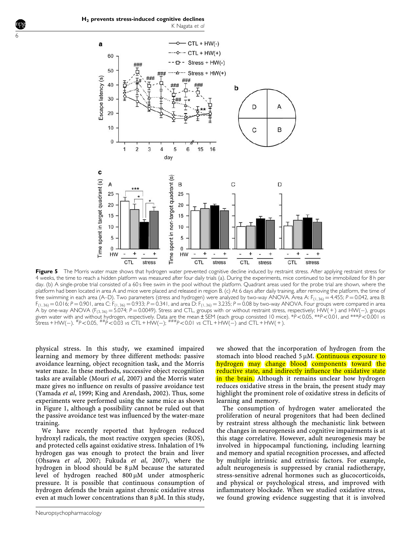$H<sub>2</sub>$  prevents stress-induced cognitive declines K Nagata et al



Figure 5 The Morris water maze shows that hydrogen water prevented cognitive decline induced by restraint stress. After applying restraint stress for 4 weeks, the time to reach a hidden platform was measured after four daily trials (a). During the experiments, mice continued to be immobilized for 8 h per day. (b) A single-probe trial consisted of a 60 s free swim in the pool without the platform. Quadrant areas used for the probe trial are shown, where the platform had been located in area A and mice were placed and released in region B. (c) At 6 days after daily training, after removing the platform, the time of free swimming in each area (A–D). Two parameters (stress and hydrogen) were analyzed by two-way ANOVA. Area A:  $F_{(1, 36)} = 4.455$ ;  $P = 0.042$ , area B:  $F_{(1,36)} = 0.016$ ; P = 0.901, area C:  $F_{(1,36)} = 0.933$ ; P = 0.341, and area D:  $F_{(1,36)} = 3.235$ ; P = 0.08 by two-way ANOVA. Four groups were compared in area A by one-way ANOVA (F<sub>(3, 36)</sub> = 5.074; P = 0.0049). Stress and CTL, groups with or without restraint stress, respectively; HW( + ) and HW( – ), groups given water with and without hydrogen, respectively. Data are the mean ± SEM (each group consisted 10 mice). \*P<0.05, \*\*P<0.01, and \*\*\*P<0.001 vs  $\breve{\rm Stress} + {\rm HW}(-)$ .  $^{\#}P\!<\!0.05$ ,  $^{\#} \breve{\rm F}^{\prime}\!<\!0.03$  vs CTL +  ${\rm HW}(-)$ ;  $^{\# \#} \breve{P}\!<\!0.01$  vs CTL +  ${\rm HW}(-)$  and CTL +  ${\rm HW}(+)$ .

physical stress. In this study, we examined impaired learning and memory by three different methods: passive avoidance learning, object recognition task, and the Morris water maze. In these methods, successive object recognition tasks are available ([Mouri](#page-7-0) et al, 2007) and the Morris water maze gives no influence on results of passive avoidance test ([Yamada](#page-7-0) et al, 1999; [King and Arendash, 2002](#page-7-0)). Thus, some experiments were performed using the same mice as shown in [Figure 1](#page-1-0), although a possibility cannot be ruled out that the passive avoidance test was influenced by the water-maze training.

We have recently reported that hydrogen reduced hydroxyl radicals, the most reactive oxygen species (ROS), and protected cells against oxidative stress. Inhalation of 1% hydrogen gas was enough to protect the brain and liver ([Ohsawa](#page-7-0) et al, 2007; [Fukuda](#page-7-0) et al, 2007), where the hydrogen in blood should be  $8 \mu M$  because the saturated level of hydrogen reached  $800 \mu M$  under atmospheric pressure. It is possible that continuous consumption of hydrogen defends the brain against chronic oxidative stress even at much lower concentrations than  $8 \mu$ M. In this study, we showed that the incorporation of hydrogen from the stomach into blood reached  $5 \mu$ M. Continuous exposure to hydrogen may change blood components toward the reductive state, and indirectly influence the oxidative state in the brain. Although it remains unclear how hydrogen reduces oxidative stress in the brain, the present study may highlight the prominent role of oxidative stress in deficits of learning and memory.

The consumption of hydrogen water ameliorated the proliferation of neural progenitors that had been declined by restraint stress although the mechanistic link between the changes in neurogenesis and cognitive impairments is at this stage correlative. However, adult neurogenesis may be involved in hippocampal functioning, including learning and memory and spatial recognition processes, and affected by multiple intrinsic and extrinsic factors. For example, adult neurogenesis is suppressed by cranial radiotherapy, stress-sensitive adrenal hormones such as glucocorticoids, and physical or psychological stress, and improved with inflammatory blockade. When we studied oxidative stress, we found growing evidence suggesting that it is involved

<span id="page-5-0"></span>6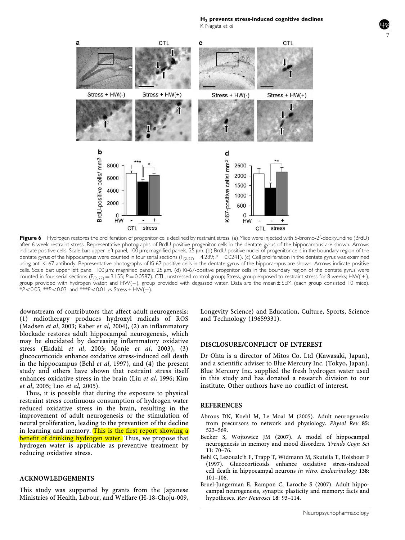H<sub>2</sub> prevents stress-induced cognitive declines K Nagata et al

7

<span id="page-6-0"></span>

Figure 6 Hydrogen restores the proliferation of progenitor cells declined by restraint stress. (a) Mice were injected with 5-bromo-2'-deoxyuridine (BrdU) after 6-week restraint stress. Representative photographs of BrdU-positive progenitor cells in the dentate gyrus of the hippocampus are shown. Arrows indicate positive cells. Scale bar: upper left panel, 100 µm; magnified panels, 25 µm. (b) BrdU-positive nuclei of progenitor cells in the boundary region of the dentate gyrus of the hippocampus were counted in four serial sections ( $F_{(2, 27)} = 4.289$ ;  $P = 0.0241$ ). (c) Cell proliferation in the dentate gyrus was examined using anti-Ki-67 antibody. Representative photographs of Ki-67-positive cells in the dentate gyrus of the hippocampus are shown. Arrows indicate positive cells. Scale bar: upper left panel, 100 µm; magnified panels, 25 µm. (d) Ki-67-positive progenitor cells in the boundary region of the dentate gyrus were counted in four serial sections (F<sub>(2, 27)</sub> = 3.155; P = 0.0587). CTL, unstressed control group; Stress, group exposed to restraint stress for 8 weeks; HW( + ), group provided with hydrogen water; and HW(-), group provided with degassed water. Data are the mean ± SEM (each group consisted 10 mice).  $*P < 0.05$ ,  $**P < 0.03$ , and  $**P < 0.01$  vs Stress + HW(-).

downstream of contributors that affect adult neurogenesis: (1) radiotherapy produces hydroxyl radicals of ROS [\(Madsen](#page-7-0) et al, 2003; [Raber](#page-7-0) et al, 2004), (2) an inflammatory blockade restores adult hippocampal neurogenesis, which may be elucidated by decreasing inflammatory oxidative stress (Ekdahl et al[, 2003](#page-7-0); Monje et al[, 2003\)](#page-7-0),  $(3)$ glucocorticoids enhance oxidative stress-induced cell death in the hippocampus (Behl et al, 1997), and (4) the present study and others have shown that restraint stress itself enhances oxidative stress in the brain (Liu et al[, 1996; Kim](#page-7-0) et al[, 2005](#page-7-0); Luo et al[, 2005\)](#page-7-0).

Thus, it is possible that during the exposure to physical restraint stress continuous consumption of hydrogen water reduced oxidative stress in the brain, resulting in the improvement of adult neurogenesis or the stimulation of neural proliferation, leading to the prevention of the decline in learning and memory. This is the first report showing a benefit of drinking hydrogen water. Thus, we propose that hydrogen water is applicable as preventive treatment by reducing oxidative stress.

#### ACKNOWLEDGEMENTS

This study was supported by grants from the Japanese Ministries of Health, Labour, and Welfare (H-18-Choju-009, Longevity Science) and Education, Culture, Sports, Science and Technology (19659331).

#### DISCLOSURE/CONFLICT OF INTEREST

Dr Ohta is a director of Mitos Co. Ltd (Kawasaki, Japan), and a scientific adviser to Blue Mercury Inc. (Tokyo, Japan). Blue Mercury Inc. supplied the fresh hydrogen water used in this study and has donated a research division to our institute. Other authors have no conflict of interest.

#### **REFERENCES**

- Abrous DN, Koehl M, Le Moal M (2005). Adult neurogenesis: from precursors to network and physiology. Physol Rev 85: 523–569.
- Becker S, Wojtowicz JM (2007). A model of hippocampal neurogenesis in memory and mood disorders. Trends Cogn Sci  $11: 70-76$
- Behl C, Lezoualc'h F, Trapp T, Widmann M, Skutella T, Holsboer F (1997). Glucocorticoids enhance oxidative stress-induced cell death in hippocampal neurons in vitro. Endocrinology 138: 101–106.
- Bruel-Jungerman E, Rampon C, Laroche S (2007). Adult hippocampal neurogenesis, synaptic plasticity and memory: facts and hypotheses. Rev Neurosci 18: 93–114.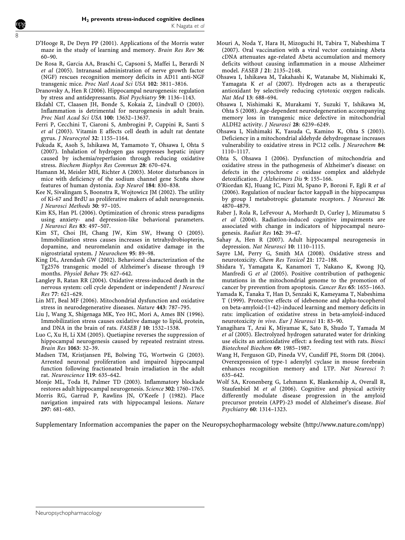D'Hooge R, De Deyn PP (2001). Applications of the Morris water maze in the study of learning and memory. Brain Res Rev 36: 60–90.

<span id="page-7-0"></span>8

- De Rosa R, Garcia AA, Braschi C, Capsoni S, Maffei L, Berardi N et al (2005). Intranasal administration of nerve growth factor (NGF) rescues recognition memory deficits in AD11 anti-NGF transgenic mice. Proc Natl Acad Sci USA 102: 3811–3816.
- Dranovsky A, Hen R (2006). Hippocampal neurogenesis: regulation by stress and antidepressants. Biol Psychiatry 59: 1136–1143.
- Ekdahl CT, Claasen JH, Bonde S, Kokaia Z, Lindvall O (2003). Inflammation is detrimental for neurogenesis in adult brain. Proc Natl Acad Sci USA 100: 13632–13637.
- Ferri P, Cecchini T, Ciaroni S, Ambrogini P, Cuppini R, Santi S et al (2003). Vitamin E affects cell death in adult rat dentate gyrus. J Neurocytol 32: 1155–1164.
- Fukuda K, Asoh S, Ishikawa M, Yamamoto Y, Ohsawa I, Ohta S (2007). Inhalation of hydrogen gas suppresses hepatic injury caused by ischemia/reperfusion through reducing oxidative stress. Biochem Biophys Res Commun 28: 670–674.
- Hamann M, Meisler MH, Richter A (2003). Motor disturbances in mice with deficiency of the sodium channel gene Scn8a show features of human dystonia. Exp Neurol 184: 830–838.
- Kee N, Sivalingam S, Boonstra R, Wojtowicz JM (2002). The utility of Ki-67 and BrdU as proliferative makers of adult neurogenesis. J Neurosci Methods 30: 97–105.
- Kim KS, Han PL (2006). Optimization of chronic stress paradigms using anxiety- and depression-like behavioral parameters. J Neurosci Res 83: 497–507.
- Kim ST, Choi JH, Chang JW, Kim SW, Hwang O (2005). Immobilization stress causes increases in tetrahydrobiopterin, dopamine, and neuromelanin and oxidative damage in the nigrostriatal system. J Neurochem 95: 89–98.
- King DL, Arendash GW (2002). Behavioral characterization of the Tg2576 transgenic model of Alzheimer's disease through 19 months. Physiol Behav 75: 627–642.
- Langley B, Ratan RR (2004). Oxidative stress-induced death in the nervous system: cell cycle dependent or independent? J Neurosci Res 77: 621–629.
- Lin MT, Beal MF (2006). Mitochondrial dysfunction and oxidative stress in neurodegenerative diseases. Nature 443: 787–795.
- Liu J, Wang X, Shigenaga MK, Yeo HC, Mori A, Ames BN (1996). Immobilization stress causes oxidative damage to lipid, protein, and DNA in the brain of rats. FASEB J 10: 1532–1538.
- Luo C, Xu H, Li XM (2005). Quetiapine reverses the suppression of hippocampal neurogenesis caused by repeated restraint stress. Brain Res 1063: 32–39.
- Madsen TM, Kristjansen PE, Bolwing TG, Wortwein G (2003). Arrested neuronal proliferation and impaired hippocampal function following fractionated brain irradiation in the adult rat. Neuroscience 119: 635–642.
- Monje ML, Toda H, Palmer TD (2003). Inflammatory blockade restores adult hippocampal neurogenesis. Science 302: 1760–1765.
- Morris RG, Garrud P, Rawlins JN, O'Keefe J (1982). Place navigation impaired rats with hippocampal lesions. Nature 297: 681–683.
- Mouri A, Noda Y, Hara H, Mizoguchi H, Tabira T, Nabeshima T (2007). Oral vaccination with a viral vector containing Abeta cDNA attenuates age-related Abeta accumulation and memory deficits without causing inflammation in a mouse Alzheimer model. FASEB J 21: 2135–2148.
- Ohsawa I, Ishikawa M, Takahashi K, Watanabe M, Nishimaki K, Yamagata K et al (2007). Hydrogen acts as a therapeutic antioxidant by selectively reducing cytotoxic oxygen radicals. Nat Med 13: 688–694.
- Ohsawa I, Nishimaki K, Murakami Y, Suzuki Y, Ishikawa M, Ohta S (2008). Age-dependent neurodegeneration accompanying memory loss in transgenic mice defective in mitochondrial ALDH2 activity. J Neurosci 28: 6239–6249.
- Ohsawa I, Nishimaki K, Yasuda C, Kamino K, Ohta S (2003). Deficiency in a mitochondrial aldehyde dehydrogenase increases vulnerability to oxidative stress in PC12 cells. J Neurochem 84: 1110–1117.
- Ohta S, Ohsawa I (2006). Dysfunction of mitochondria and oxidative stress in the pathogenesis of Alzheimer's disease: on defects in the cytochrome  $c$  oxidase complex and aldehyde detoxification. J Alzheimers Dis 9: 155–166.
- O'Riordan KJ, Huang IC, Pizzi M, Spano P, Boroni F, Egli R et al (2006). Regulation of nuclear factor kappaB in the hippocampus by group I metabotropic glutamate receptors. J Neurosci 26: 4870–4879.
- Raber J, Rola R, LeFevour A, Morhardt D, Curley J, Mizumatsu S et al (2004). Radiation-induced cognitive impairments are associated with change in indicators of hippocampal neurogenesis. Radiat Res 162: 39–47.
- Sahay A, Hen R (2007). Adult hippocampal neurogenesis in depression. Nat Neurosci 10: 1110–1115.
- Sayre LM, Perry G, Smith MA (2008). Oxidative stress and neurotoxicity. Chem Res Toxicol 21: 172–188.
- Shidara Y, Yamagata K, Kanamori T, Nakano K, Kwong JQ, Manfredi G et al (2005). Positive contribution of pathogenic mutations in the mitochondrial genome to the promotion of cancer by prevention from apoptosis. Cancer Res 65: 1655–1663.
- Yamada K, Tanaka T, Han D, Senzaki K, Kameyama T, Nabeshima T (1999). Protective effects of idebenone and alpha-tocopherol on beta-amyloid-(1-42)-induced learning and memory deficits in rats: implication of oxidative stress in beta-amyloid-induced neurotoxicity in vivo. Eur J Neurosci 11: 83–90.
- Yanagihara T, Arai K, Miyamae K, Sato B, Shudo T, Yamada M et al (2005). Electrolyzed hydrogen saturated water for drinking use elicits an antioxidative effect: a feeding test with rats. Biosci Biotechnol Biochem 69: 1985–1987.
- Wang H, Ferguson GD, Pineda VV, Cundiff PE, Storm DR (2004). Overexpression of type-1 adenylyl cyclase in mouse forebrain enhances recognition memory and LTP. Nat Neurosci 7: 635–642.
- Wolf SA, Kronenberg G, Lehmann K, Blankenship A, Overall R, Staufenbiel M et al (2006). Cognitive and physical activity differently modulate disease progression in the amyloid precursor protein (APP)-23 model of Alzheimer's disease. Biol Psychiatry 60: 1314–1323.

Supplementary Information accompanies the paper on the Neuropsychopharmacology website [\(http://www.nature.com/npp\)](http://www.nature.com/npp)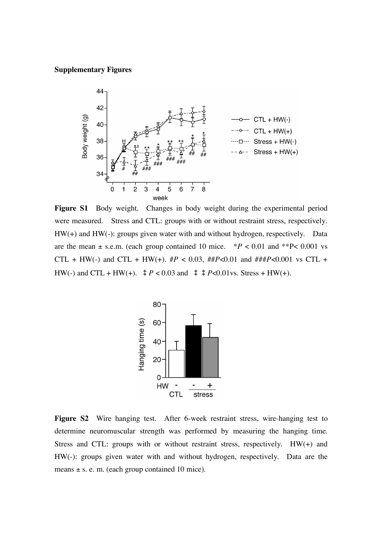# **Supplementary Figures**



**Figure S1** Body weight. Changes in body weight during the experimental period were measured. Stress and CTL: groups with or without restraint stress, respectively. HW(+) and HW(-): groups given water with and without hydrogen, respectively. Data are the mean  $\pm$  s.e.m. (each group contained 10 mice.  $*P < 0.01$  and  $*P < 0.001$  vs CTL + HW(-) and CTL + HW(+).  $\#P$  < 0.03,  $\# \#P$  < 0.01 and  $\# \# \#P$  < 0.001 vs CTL + HW(-) and CTL + HW(+).  $\ddagger P < 0.03$  and  $\ddagger \ddagger P < 0.01$  vs. Stress + HW(+).



**Figure S2** Wire hanging test. After 6-week restraint stress, wire-hanging test to determine neuromuscular strength was performed by measuring the hanging time. Stress and CTL: groups with or without restraint stress, respectively.  $HW(+)$  and HW(-): groups given water with and without hydrogen, respectively. Data are the means  $\pm$  s. e. m. (each group contained 10 mice).